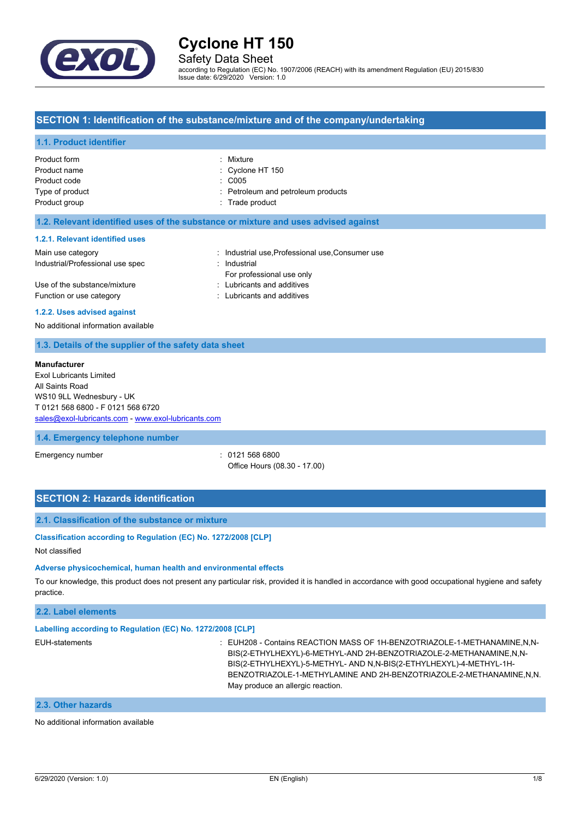

## Safety Data Sheet

according to Regulation (EC) No. 1907/2006 (REACH) with its amendment Regulation (EU) 2015/830 Issue date: 6/29/2020 Version: 1.0

### **SECTION 1: Identification of the substance/mixture and of the company/undertaking**

#### **1.1. Product identifier**

| Product form    | : Mixture                          |
|-----------------|------------------------------------|
| Product name    | $\therefore$ Cyclone HT 150        |
| Product code    | : C005                             |
| Type of product | : Petroleum and petroleum products |
| Product group   | : Trade product                    |
|                 |                                    |

### **1.2. Relevant identified uses of the substance or mixture and uses advised against**

### **1.2.1. Relevant identified uses**

| Main use category                | : Industrial use Professional use Consumer use |
|----------------------------------|------------------------------------------------|
| Industrial/Professional use spec | : Industrial                                   |
|                                  | For professional use only                      |
| Use of the substance/mixture     | : Lubricants and additives                     |
| Function or use category         | : Lubricants and additives                     |

#### **1.2.2. Uses advised against**

No additional information available

### **1.3. Details of the supplier of the safety data sheet**

#### **Manufacturer**

Exol Lubricants Limited All Saints Road WS10 9LL Wednesbury - UK T 0121 568 6800 - F 0121 568 6720 [sales@exol-lubricants.com](mailto:sales@exol-lubricants.com) - <www.exol-lubricants.com>

#### **1.4. Emergency telephone number**

Emergency number : 0121 568 6800 Office Hours (08.30 - 17.00)

## **SECTION 2: Hazards identification**

#### **2.1. Classification of the substance or mixture**

### **Classification according to Regulation (EC) No. 1272/2008 [CLP]**

Not classified

#### **Adverse physicochemical, human health and environmental effects**

To our knowledge, this product does not present any particular risk, provided it is handled in accordance with good occupational hygiene and safety practice.

### **2.2. Label elements**

### **Labelling according to Regulation (EC) No. 1272/2008 [CLP]**

EUH-statements **in the statements** : EUH208 - Contains REACTION MASS OF 1H-BENZOTRIAZOLE-1-METHANAMINE,N,N-BIS(2-ETHYLHEXYL)-6-METHYL-AND 2H-BENZOTRIAZOLE-2-METHANAMINE,N,N-BIS(2-ETHYLHEXYL)-5-METHYL- AND N,N-BIS(2-ETHYLHEXYL)-4-METHYL-1H-BENZOTRIAZOLE-1-METHYLAMINE AND 2H-BENZOTRIAZOLE-2-METHANAMINE,N,N. May produce an allergic reaction.

### **2.3. Other hazards**

No additional information available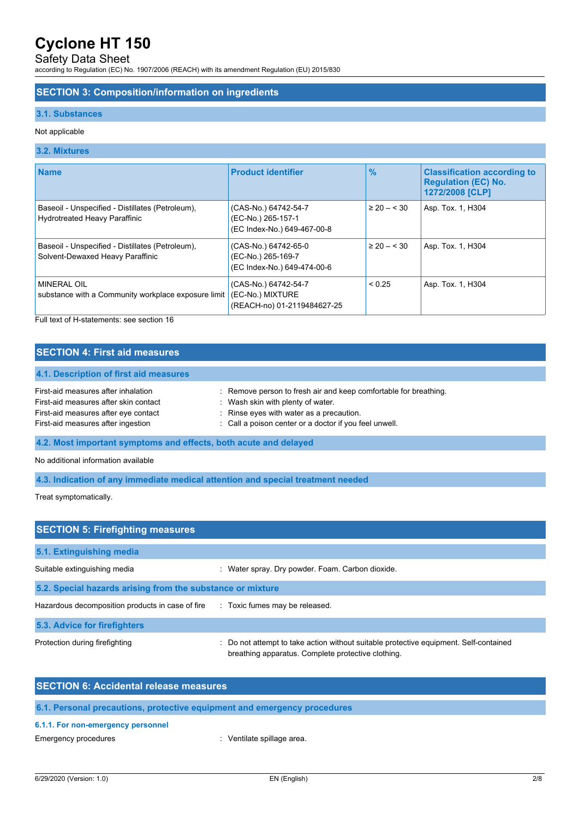# Safety Data Sheet

according to Regulation (EC) No. 1907/2006 (REACH) with its amendment Regulation (EU) 2015/830

### **SECTION 3: Composition/information on ingredients**

### **3.1. Substances**

### Not applicable

## **3.2. Mixtures**

| <b>Name</b>                                                                              | <b>Product identifier</b>                                                 | $\frac{9}{6}$   | <b>Classification according to</b><br><b>Regulation (EC) No.</b><br>1272/2008 [CLP] |
|------------------------------------------------------------------------------------------|---------------------------------------------------------------------------|-----------------|-------------------------------------------------------------------------------------|
| Baseoil - Unspecified - Distillates (Petroleum),<br><b>Hydrotreated Heavy Paraffinic</b> | (CAS-No.) 64742-54-7<br>(EC-No.) 265-157-1<br>(EC Index-No.) 649-467-00-8 | $\geq 20 - 30$  | Asp. Tox. 1, H304                                                                   |
| Baseoil - Unspecified - Distillates (Petroleum),<br>Solvent-Dewaxed Heavy Paraffinic     | (CAS-No.) 64742-65-0<br>(EC-No.) 265-169-7<br>(EC Index-No.) 649-474-00-6 | $\geq 20 - 530$ | Asp. Tox. 1, H304                                                                   |
| <b>MINERAL OIL</b><br>substance with a Community workplace exposure limit                | (CAS-No.) 64742-54-7<br>(EC-No.) MIXTURE<br>(REACH-no) 01-2119484627-25   | < 0.25          | Asp. Tox. 1, H304                                                                   |

Full text of H-statements: see section 16

## **SECTION 4: First aid measures**

| : Remove person to fresh air and keep comfortable for breathing. |
|------------------------------------------------------------------|
| Wash skin with plenty of water.                                  |
| : Rinse eyes with water as a precaution.                         |
| : Call a poison center or a doctor if you feel unwell.           |
|                                                                  |

## **4.2. Most important symptoms and effects, both acute and delayed**

No additional information available

### **4.3. Indication of any immediate medical attention and special treatment needed**

Treat symptomatically.

| <b>SECTION 5: Firefighting measures</b>                                       |                                                                                                                                             |  |  |
|-------------------------------------------------------------------------------|---------------------------------------------------------------------------------------------------------------------------------------------|--|--|
| 5.1. Extinguishing media                                                      |                                                                                                                                             |  |  |
| Suitable extinguishing media                                                  | : Water spray. Dry powder. Foam. Carbon dioxide.                                                                                            |  |  |
| 5.2. Special hazards arising from the substance or mixture                    |                                                                                                                                             |  |  |
| Hazardous decomposition products in case of fire Toxic fumes may be released. |                                                                                                                                             |  |  |
| 5.3. Advice for firefighters                                                  |                                                                                                                                             |  |  |
| Protection during firefighting                                                | : Do not attempt to take action without suitable protective equipment. Self-contained<br>breathing apparatus. Complete protective clothing. |  |  |

## **SECTION 6: Accidental release measures**

## **6.1. Personal precautions, protective equipment and emergency procedures**

### **6.1.1. For non-emergency personnel**

Emergency procedures **in the energy of the Contract Contract Contract Contract Contract Contract Contract Contract Contract Contract Contract Contract Contract Contract Contract Contract Contract Contract Contract Contract**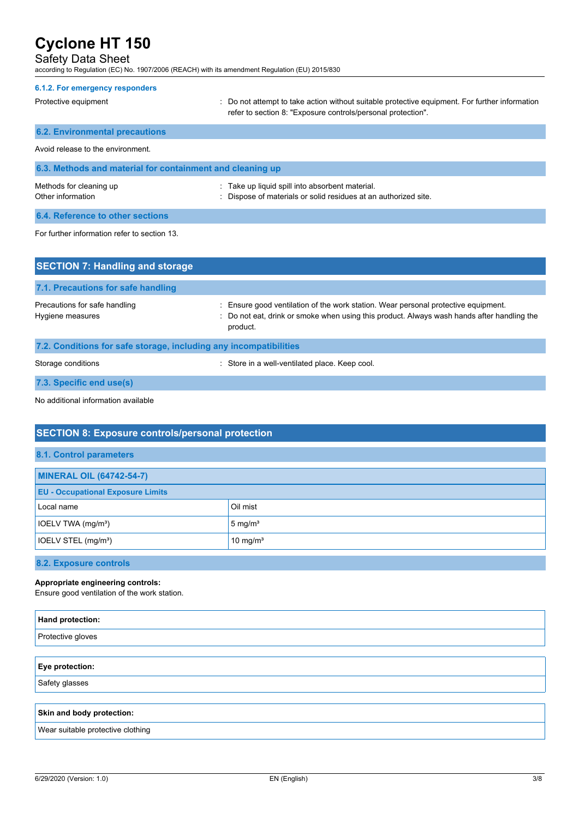## Safety Data Sheet

according to Regulation (EC) No. 1907/2006 (REACH) with its amendment Regulation (EU) 2015/830

| 6.1.2. For emergency responders                           |                                                                                                                                                                |  |
|-----------------------------------------------------------|----------------------------------------------------------------------------------------------------------------------------------------------------------------|--|
| Protective equipment                                      | : Do not attempt to take action without suitable protective equipment. For further information<br>refer to section 8: "Exposure controls/personal protection". |  |
| <b>6.2. Environmental precautions</b>                     |                                                                                                                                                                |  |
| Avoid release to the environment.                         |                                                                                                                                                                |  |
| 6.3. Methods and material for containment and cleaning up |                                                                                                                                                                |  |
| Methods for cleaning up<br>Other information              | : Take up liquid spill into absorbent material.<br>: Dispose of materials or solid residues at an authorized site.                                             |  |
| 6.4. Reference to other sections                          |                                                                                                                                                                |  |
| For further information refer to section 13.              |                                                                                                                                                                |  |

| <b>SECTION 7: Handling and storage</b>                            |                                                                                                                                                                                              |  |
|-------------------------------------------------------------------|----------------------------------------------------------------------------------------------------------------------------------------------------------------------------------------------|--|
| 7.1. Precautions for safe handling                                |                                                                                                                                                                                              |  |
| Precautions for safe handling<br>Hygiene measures                 | : Ensure good ventilation of the work station. Wear personal protective equipment.<br>: Do not eat, drink or smoke when using this product. Always wash hands after handling the<br>product. |  |
| 7.2. Conditions for safe storage, including any incompatibilities |                                                                                                                                                                                              |  |
| Storage conditions                                                | : Store in a well-ventilated place. Keep cool.                                                                                                                                               |  |

**7.3. Specific end use(s)**

No additional information available

# **SECTION 8: Exposure controls/personal protection**

| <b>MINERAL OIL (64742-54-7)</b>          |                      |
|------------------------------------------|----------------------|
| <b>EU - Occupational Exposure Limits</b> |                      |
| Local name                               | Oil mist             |
| IOELV TWA (mg/m <sup>3</sup> )           | $5 \text{ mg/m}^3$   |
| IOELV STEL (mg/m <sup>3</sup> )          | 10 mg/m <sup>3</sup> |
|                                          |                      |

## **8.2. Exposure controls**

### **Appropriate engineering controls:**

Ensure good ventilation of the work station.

| <b>Hand protection:</b>           |
|-----------------------------------|
| Protective gloves                 |
|                                   |
| <b>Eye protection:</b>            |
| Safety glasses                    |
|                                   |
| Skin and body protection:         |
| Wear suitable protective clothing |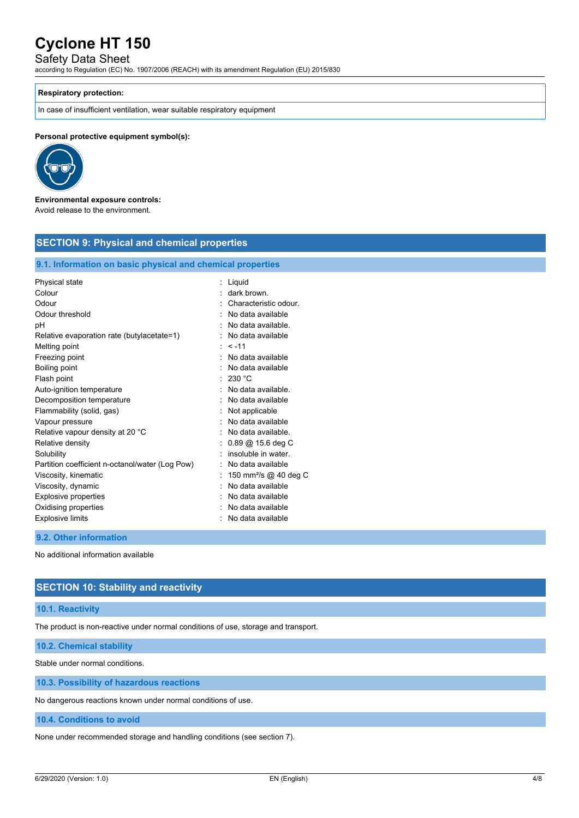## Safety Data Sheet

according to Regulation (EC) No. 1907/2006 (REACH) with its amendment Regulation (EU) 2015/830

### **Respiratory protection:**

In case of insufficient ventilation, wear suitable respiratory equipment

**Personal protective equipment symbol(s):**



#### **Environmental exposure controls:** Avoid release to the environment.

| <b>SECTION 9: Physical and chemical properties</b>         |                                   |  |
|------------------------------------------------------------|-----------------------------------|--|
| 9.1. Information on basic physical and chemical properties |                                   |  |
| Physical state                                             | : Liquid                          |  |
| Colour                                                     | dark brown.                       |  |
| Odour                                                      | Characteristic odour.             |  |
| Odour threshold                                            | No data available                 |  |
| pH                                                         | No data available.                |  |
| Relative evaporation rate (butylacetate=1)                 | No data available                 |  |
| Melting point                                              | $\cdot$ < -11                     |  |
| Freezing point                                             | No data available                 |  |
| Boiling point                                              | No data available                 |  |
| Flash point                                                | 230 °C                            |  |
| Auto-ignition temperature                                  | No data available.                |  |
| Decomposition temperature                                  | No data available                 |  |
| Flammability (solid, gas)                                  | Not applicable                    |  |
| Vapour pressure                                            | No data available                 |  |
| Relative vapour density at 20 °C                           | No data available.                |  |
| Relative density                                           | $0.89 \ @$ 15.6 deg C             |  |
| Solubility                                                 | insoluble in water.               |  |
| Partition coefficient n-octanol/water (Log Pow)            | No data available                 |  |
| Viscosity, kinematic                                       | 150 mm <sup>2</sup> /s @ 40 deg C |  |
| Viscosity, dynamic                                         | No data available                 |  |
| Explosive properties                                       | No data available                 |  |
| Oxidising properties                                       | No data available                 |  |
| <b>Explosive limits</b>                                    | No data available                 |  |

### **9.2. Other information**

No additional information available

## **SECTION 10: Stability and reactivity**

### **10.1. Reactivity**

The product is non-reactive under normal conditions of use, storage and transport.

**10.2. Chemical stability**

Stable under normal conditions.

**10.3. Possibility of hazardous reactions**

No dangerous reactions known under normal conditions of use.

**10.4. Conditions to avoid**

None under recommended storage and handling conditions (see section 7).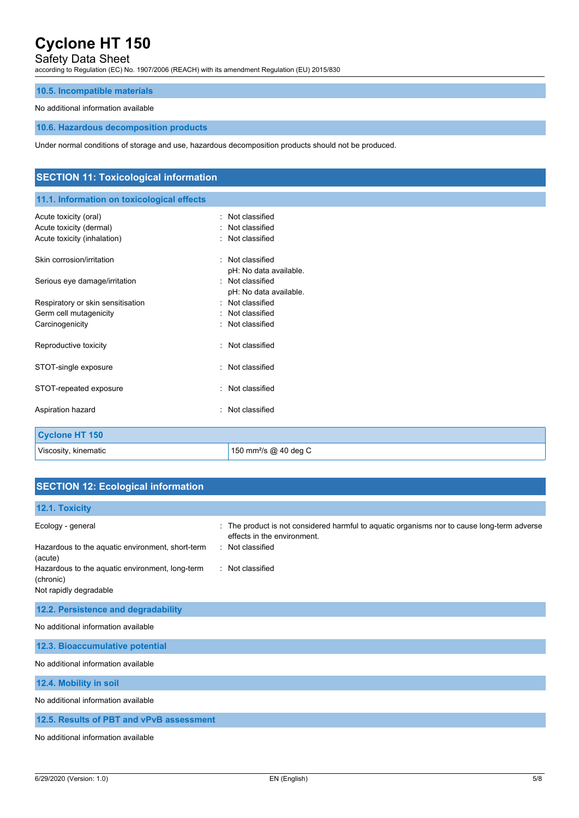## Safety Data Sheet

according to Regulation (EC) No. 1907/2006 (REACH) with its amendment Regulation (EU) 2015/830

## **10.5. Incompatible materials**

### No additional information available

### **10.6. Hazardous decomposition products**

Under normal conditions of storage and use, hazardous decomposition products should not be produced.

| <b>SECTION 11: Toxicological information</b> |                                   |  |
|----------------------------------------------|-----------------------------------|--|
| 11.1. Information on toxicological effects   |                                   |  |
| Acute toxicity (oral)                        | : Not classified                  |  |
| Acute toxicity (dermal)                      | Not classified                    |  |
| Acute toxicity (inhalation)                  | : Not classified                  |  |
| Skin corrosion/irritation                    | : Not classified                  |  |
|                                              | pH: No data available.            |  |
| Serious eye damage/irritation                | : Not classified                  |  |
|                                              | pH: No data available.            |  |
| Respiratory or skin sensitisation            | : Not classified                  |  |
| Germ cell mutagenicity                       | Not classified                    |  |
| Carcinogenicity                              | : Not classified                  |  |
| Reproductive toxicity                        | : Not classified                  |  |
| STOT-single exposure                         | : Not classified                  |  |
| STOT-repeated exposure                       | : Not classified                  |  |
| Aspiration hazard                            | Not classified<br>٠.              |  |
| <b>Cyclone HT 150</b>                        |                                   |  |
| Viscosity, kinematic                         | 150 mm <sup>2</sup> /s @ 40 deg C |  |

# **SECTION 12: Ecological information**

| 12.1. Toxicity                                               |                                                                                                                            |
|--------------------------------------------------------------|----------------------------------------------------------------------------------------------------------------------------|
| Ecology - general                                            | : The product is not considered harmful to aquatic organisms nor to cause long-term adverse<br>effects in the environment. |
| Hazardous to the aquatic environment, short-term<br>(acute)  | : Not classified                                                                                                           |
| Hazardous to the aquatic environment, long-term<br>(chronic) | Not classified                                                                                                             |
| Not rapidly degradable                                       |                                                                                                                            |
| 12.2. Persistence and degradability                          |                                                                                                                            |
| No additional information available                          |                                                                                                                            |
| 12.3. Bioaccumulative potential                              |                                                                                                                            |
| No additional information available                          |                                                                                                                            |
| 12.4. Mobility in soil                                       |                                                                                                                            |
| No additional information available                          |                                                                                                                            |
| 12.5. Results of PBT and vPvB assessment                     |                                                                                                                            |
| No additional information available                          |                                                                                                                            |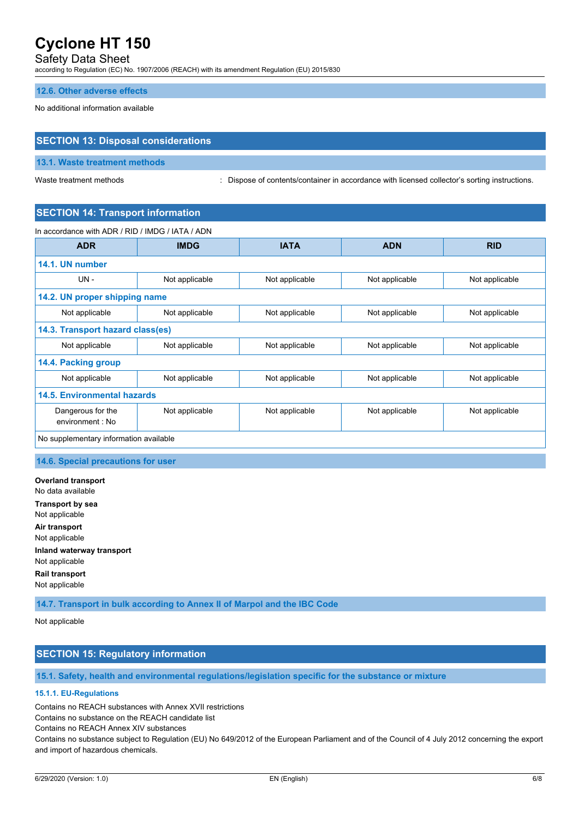## Safety Data Sheet

according to Regulation (EC) No. 1907/2006 (REACH) with its amendment Regulation (EU) 2015/830

### **12.6. Other adverse effects**

No additional information available

## **SECTION 13: Disposal considerations**

### **13.1. Waste treatment methods**

Waste treatment methods : Dispose of contents/container in accordance with licensed collector's sorting instructions.

## **SECTION 14: Transport information**

In accordance with ADR / RID / IMDG / IATA / ADN

| <b>ADR</b>                             | <b>IMDG</b>    | <b>IATA</b>    | <b>ADN</b>     | <b>RID</b>     |  |
|----------------------------------------|----------------|----------------|----------------|----------------|--|
| 14.1. UN number                        |                |                |                |                |  |
| $UN -$                                 | Not applicable | Not applicable | Not applicable | Not applicable |  |
| 14.2. UN proper shipping name          |                |                |                |                |  |
| Not applicable                         | Not applicable | Not applicable | Not applicable | Not applicable |  |
| 14.3. Transport hazard class(es)       |                |                |                |                |  |
| Not applicable                         | Not applicable | Not applicable | Not applicable | Not applicable |  |
| 14.4. Packing group                    |                |                |                |                |  |
| Not applicable                         | Not applicable | Not applicable | Not applicable | Not applicable |  |
| 14.5. Environmental hazards            |                |                |                |                |  |
| Dangerous for the<br>environment : No  | Not applicable | Not applicable | Not applicable | Not applicable |  |
| No supplementary information available |                |                |                |                |  |

### **14.6. Special precautions for user**

**Overland transport** No data available **Transport by sea** Not applicable **Air transport** Not applicable **Inland waterway transport** Not applicable **Rail transport** Not applicable

**14.7. Transport in bulk according to Annex II of Marpol and the IBC Code**

Not applicable

## **SECTION 15: Regulatory information**

**15.1. Safety, health and environmental regulations/legislation specific for the substance or mixture**

### **15.1.1. EU-Regulations**

Contains no REACH substances with Annex XVII restrictions

Contains no substance on the REACH candidate list

Contains no REACH Annex XIV substances

Contains no substance subject to Regulation (EU) No 649/2012 of the European Parliament and of the Council of 4 July 2012 concerning the export and import of hazardous chemicals.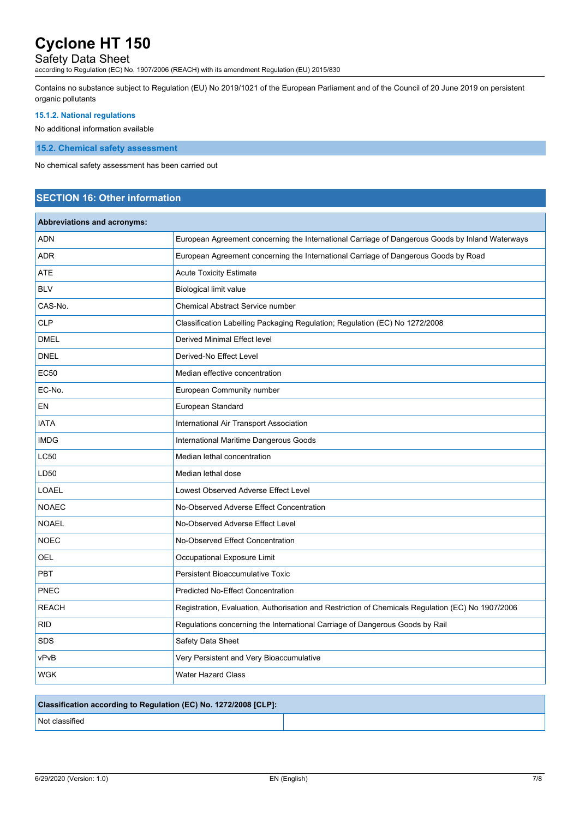# Safety Data Sheet

according to Regulation (EC) No. 1907/2006 (REACH) with its amendment Regulation (EU) 2015/830

Contains no substance subject to Regulation (EU) No 2019/1021 of the European Parliament and of the Council of 20 June 2019 on persistent organic pollutants

## **15.1.2. National regulations**

No additional information available

**15.2. Chemical safety assessment**

No chemical safety assessment has been carried out

# **SECTION 16: Other information**

| <b>Abbreviations and acronyms:</b> |                                                                                                   |
|------------------------------------|---------------------------------------------------------------------------------------------------|
| <b>ADN</b>                         | European Agreement concerning the International Carriage of Dangerous Goods by Inland Waterways   |
| <b>ADR</b>                         | European Agreement concerning the International Carriage of Dangerous Goods by Road               |
| <b>ATE</b>                         | <b>Acute Toxicity Estimate</b>                                                                    |
| <b>BLV</b>                         | <b>Biological limit value</b>                                                                     |
| CAS-No.                            | <b>Chemical Abstract Service number</b>                                                           |
| <b>CLP</b>                         | Classification Labelling Packaging Regulation; Regulation (EC) No 1272/2008                       |
| <b>DMEL</b>                        | Derived Minimal Effect level                                                                      |
| <b>DNEL</b>                        | Derived-No Effect Level                                                                           |
| <b>EC50</b>                        | Median effective concentration                                                                    |
| EC-No.                             | European Community number                                                                         |
| EN                                 | European Standard                                                                                 |
| <b>IATA</b>                        | International Air Transport Association                                                           |
| <b>IMDG</b>                        | International Maritime Dangerous Goods                                                            |
| <b>LC50</b>                        | Median lethal concentration                                                                       |
| LD50                               | Median lethal dose                                                                                |
| <b>LOAEL</b>                       | Lowest Observed Adverse Effect Level                                                              |
| <b>NOAEC</b>                       | No-Observed Adverse Effect Concentration                                                          |
| <b>NOAEL</b>                       | No-Observed Adverse Effect Level                                                                  |
| <b>NOEC</b>                        | No-Observed Effect Concentration                                                                  |
| <b>OEL</b>                         | Occupational Exposure Limit                                                                       |
| <b>PBT</b>                         | <b>Persistent Bioaccumulative Toxic</b>                                                           |
| <b>PNEC</b>                        | <b>Predicted No-Effect Concentration</b>                                                          |
| <b>REACH</b>                       | Registration, Evaluation, Authorisation and Restriction of Chemicals Regulation (EC) No 1907/2006 |
| <b>RID</b>                         | Regulations concerning the International Carriage of Dangerous Goods by Rail                      |
| <b>SDS</b>                         | Safety Data Sheet                                                                                 |
| vPvB                               | Very Persistent and Very Bioaccumulative                                                          |
| WGK                                | <b>Water Hazard Class</b>                                                                         |

# **Classification according to Regulation (EC) No. 1272/2008 [CLP]:**

Not classified